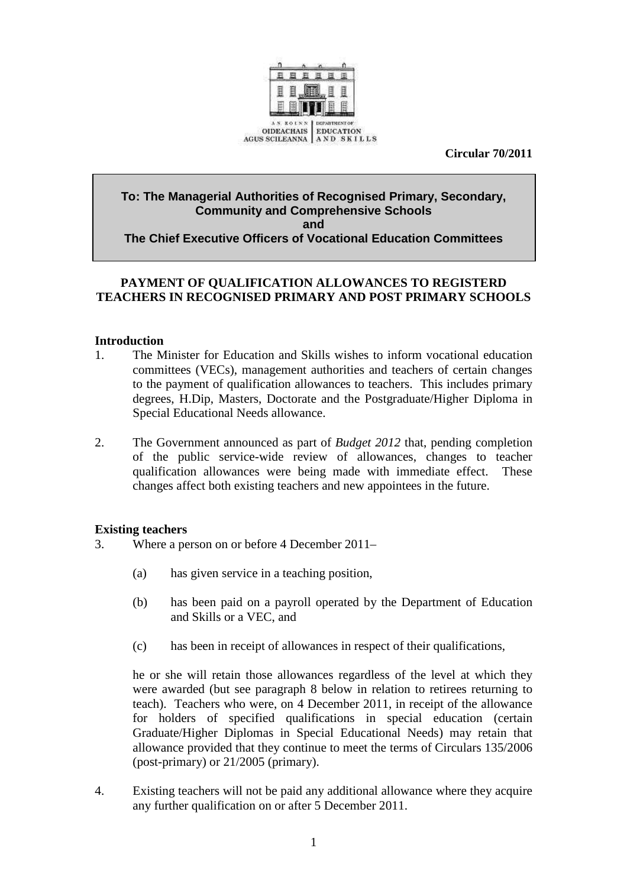

 **Circular 70/2011** 

### **To: The Managerial Authorities of Recognised Primary, Secondary, Community and Comprehensive Schools and The Chief Executive Officers of Vocational Education Committees**

# **PAYMENT OF QUALIFICATION ALLOWANCES TO REGISTERD TEACHERS IN RECOGNISED PRIMARY AND POST PRIMARY SCHOOLS**

#### **Introduction**

- 1. The Minister for Education and Skills wishes to inform vocational education committees (VECs), management authorities and teachers of certain changes to the payment of qualification allowances to teachers. This includes primary degrees, H.Dip, Masters, Doctorate and the Postgraduate/Higher Diploma in Special Educational Needs allowance.
- 2. The Government announced as part of *Budget 2012* that, pending completion of the public service-wide review of allowances, changes to teacher qualification allowances were being made with immediate effect. These changes affect both existing teachers and new appointees in the future.

# **Existing teachers**

- 3. Where a person on or before 4 December 2011–
	- (a) has given service in a teaching position,
	- (b) has been paid on a payroll operated by the Department of Education and Skills or a VEC, and
	- (c) has been in receipt of allowances in respect of their qualifications,

he or she will retain those allowances regardless of the level at which they were awarded (but see paragraph 8 below in relation to retirees returning to teach). Teachers who were, on 4 December 2011, in receipt of the allowance for holders of specified qualifications in special education (certain Graduate/Higher Diplomas in Special Educational Needs) may retain that allowance provided that they continue to meet the terms of Circulars 135/2006 (post-primary) or 21/2005 (primary).

4. Existing teachers will not be paid any additional allowance where they acquire any further qualification on or after 5 December 2011.